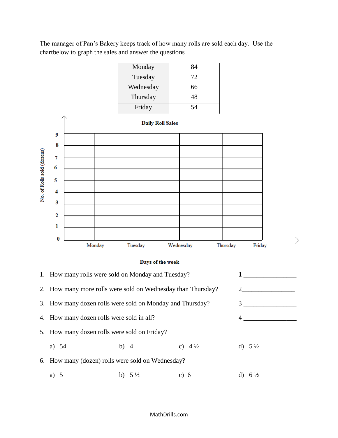The manager of Pan's Bakery keeps track of how many rolls are sold each day. Use the chartbelow to graph the sales and answer the questions

| Monday    | 84 |
|-----------|----|
| Tuesday   | 72 |
|           |    |
| Wednesday | 66 |
| Thursday  | 48 |
| Friday    | 54 |



## Days of the week

|                                                           | 1. How many rolls were sold on Monday and Tuesday?           |        |                   |        |                   |    |                   |
|-----------------------------------------------------------|--------------------------------------------------------------|--------|-------------------|--------|-------------------|----|-------------------|
|                                                           | 2. How many more rolls were sold on Wednesday than Thursday? |        |                   |        | 2                 |    |                   |
| 3. How many dozen rolls were sold on Monday and Thursday? |                                                              |        |                   |        | 3                 |    |                   |
|                                                           | 4. How many dozen rolls were sold in all?                    |        |                   |        | 4                 |    |                   |
|                                                           | 5. How many dozen rolls were sold on Friday?                 |        |                   |        |                   |    |                   |
|                                                           | a) $54$                                                      | b) $4$ |                   |        | c) $4\frac{1}{2}$ |    | d) $5\frac{1}{2}$ |
|                                                           | 6. How many (dozen) rolls were sold on Wednesday?            |        |                   |        |                   |    |                   |
|                                                           | a) $5$                                                       |        | b) $5\frac{1}{2}$ | c) $6$ |                   | d) | $6\frac{1}{2}$    |